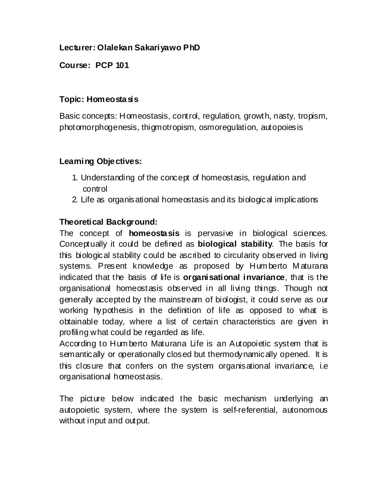#### **Lecturer: Olalekan Sakariyawo PhD**

**Course: PCP 101**

#### **Topic: Homeostasis**

Basic concepts: Homeostasis, control, regulation, growth, nasty, tropism, photomorphogenesis, thigmotropism, osmoregulation, autopoiesis

#### **Learning Objectives:**

- 1. Understanding of the concept of homeostasis, regulation and control
- 2. Life as organisational homeostasis and its biological implications

#### **Theoretical Background:**

The concept of **homeostasis** is pervasive in biological sciences. Conceptually it could be defined as **biological stability**. The basis for this biological stability could be ascribed to circularity observed in living systems. Present knowledge as proposed by Hum berto M aturana indicated that the basis of life is **organisational invariance**, that is the organisational homeostasis observed in all living things. Though not generally accepted by the mainstream of biologist, it could serve as our working hypothesis in the definition of life as opposed to what is obtainable today, where a list of certain characteristics are given in profiling what could be regarded as life.

According to Hum berto Maturana Life is an Autopoietic system that is semantically or operationally closed but thermodynamically opened. It is this closure that confers on the system organisational invariance, i.e organisational homeostasis.

The picture below indicated the basic mechanism underlying an autopoietic system, where the system is self-referential, autonomous without input and output.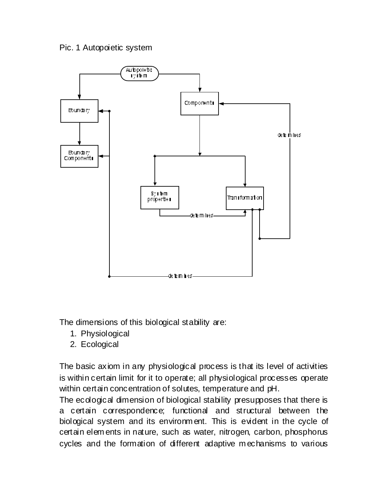#### Pic. 1 Autopoietic system



The dimensions of this biological stability are:

- 1. Physiological
- 2. Ecological

The basic axiom in any physiological process is that its level of activities is within certain limit for it to operate; all physiological processes operate within certain concentration of solutes, temperature and pH.

The ecological dimension of biological stability presupposes that there is a certain correspondence; functional and structural between the biological system and its environm ent. This is evident in the cycle of certain elem ents in nature, such as water, nitrogen, carbon, phosphorus cycles and the formation of different adaptive m echanisms to various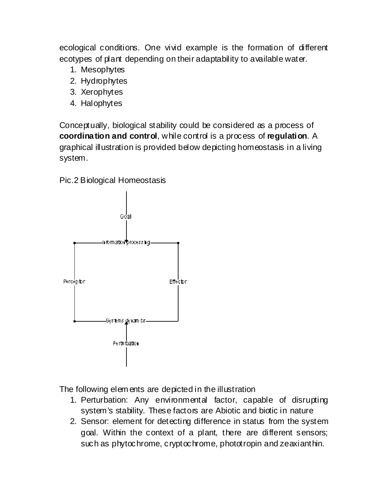ecological conditions. One vivid example is the formation of different ecotypes of plant depending on their adaptability to available water.

- 1. Mesophytes
- 2. Hydrophytes
- 3. Xerophytes
- 4. Halophytes

Conceptually, biological stability could be considered as a process of **coordination and control**, while control is a process of **regulation**. A graphical illustration is provided below depicting homeostasis in a living system.

Pic.2 Biological Homeostasis



The following elem ents are depicted in the illustration

- 1. Perturbation: Any environmental factor, capable of disrupting system's stability. These factors are Abiotic and biotic in nature
- 2. Sensor: element for detecting difference in status from the system goal. Within the context of a plant, there are different sensors; such as phytochrome, cryptochrome, phototropin and zeaxianthin.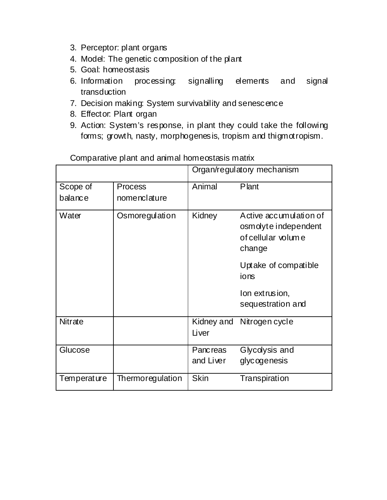- 3. Perceptor: plant organs
- 4. Model: The genetic composition of the plant
- 5. Goal: homeostasis
- 6. Information processing: signalling elements and signal transduction
- 7. Decision making: System survivability and senescence
- 8. Effector: Plant organ
- 9. Action: System's response, in plant they could take the following forms; growth, nasty, morphogenesis, tropism and thigmotropism.

|                     |                                | Organ/regulatory mechanism   |                                                                                |
|---------------------|--------------------------------|------------------------------|--------------------------------------------------------------------------------|
| Scope of<br>balance | <b>Process</b><br>nomenclature | Animal                       | Plant                                                                          |
| Water               | Osmoregulation                 | Kidney                       | Active accumulation of<br>osmolyte independent<br>of cellular volume<br>change |
|                     |                                |                              | Uptake of compatible<br>ions                                                   |
|                     |                                |                              | lon extrusion,<br>sequestration and                                            |
| <b>Nitrate</b>      |                                | Kidney and<br>Liver          | Nitrogen cycle                                                                 |
| Glucose             |                                | <b>Pancreas</b><br>and Liver | Glycolysis and<br>glycogenesis                                                 |
| Temperature         | Thermoregulation               | <b>Skin</b>                  | Transpiration                                                                  |

Comparative plant and animal homeostasis matrix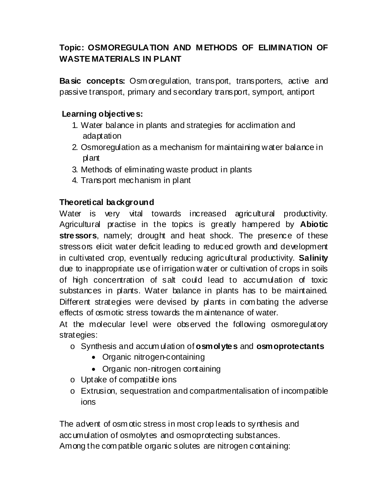## **Topic: OSMOREGULATION AND M ETHODS OF ELIMINATION OF WASTE MATERIALS IN PLANT**

**Basic concepts:** Osm oregulation, transport, transporters, active and passive transport, primary and secondary transport, symport, antiport

#### **Learning objectives:**

- 1. Water balance in plants and strategies for acclimation and adaptation
- 2. Osmoregulation as a mechanism for maintaining water balance in plant
- 3. Methods of eliminating waste product in plants
- 4. Transport mechanism in plant

### **Theoretical background**

Water is very vital towards increased agricultural productivity. Agricultural practise in the topics is greatly hampered by **Abiotic stressors**, namely; drought and heat shock. The presence of these stressors elicit water deficit leading to reduced growth and development in cultivated crop, eventually reducing agricultural productivity. **Salinity**  due to inappropriate use of irrigation water or cultivation of crops in soils of high concentration of salt could lead to accumulation of toxic substances in plants. Water balance in plants has to be maintained. Different strategies were devised by plants in com bating the adverse effects of osmotic stress towards the m aintenance of water.

At the molecular level were observed the following osmoregulatory strategies:

- o Synthesis and accum ulation of **osmolytes** and **osmoprotectants**
	- Organic nitrogen-containing
	- Organic non-nitrogen containing
- o Uptake of compatible ions
- o Extrusion, sequestration and compartmentalisation of incompatible ions

The advent of osm otic stress in most crop leads to synthesis and accumulation of osmolytes and osmoprotecting substances. Among the com patible organic solutes are nitrogen containing: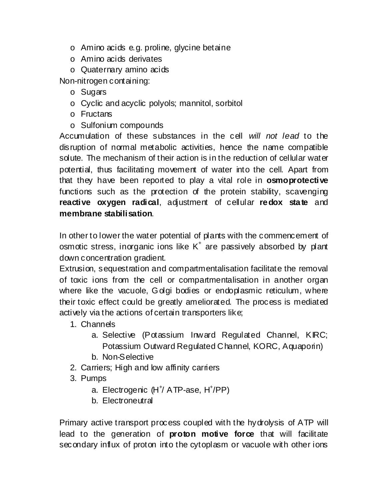- o Amino acids e.g. proline, glycine betaine
- o Amino acids derivates
- o Quaternary amino acids

Non-nitrogen containing:

- o Sugars
- o Cyclic and acyclic polyols; mannitol, sorbitol
- o Fructans
- o Sulfonium compounds

Accumulation of these substances in the cell *will not lead* to the disruption of normal metabolic activities, hence the name compatible solute. The mechanism of their action is in the reduction of cellular water potential, thus facilitating movement of water into the cell. Apart from that they have been reported to play a vital role in **osmoprotective** functions such as the protection of the protein stability, scavenging **reactive oxygen radical**, adjustment of cellular **redox state** and **membrane stabilisation**.

In other to lower the water potential of plants with the commencement of osmotic stress, inorganic ions like  $K^+$  are passively absorbed by plant down concentration gradient.

Extrusion, sequestration and compartmentalisation facilitate the removal of toxic ions from the cell or compartmentalisation in another organ where like the vacuole, Golgi bodies or endoplasmic reticulum, where their toxic effect could be greatly ameliorated. The process is mediated actively via the actions of certain transporters like;

- 1. Channels
	- a. Selective (Potassium Inward Regulated Channel, KIRC; Potassium Outward Regulated Channel, KORC, Aquaporin)
	- b. Non-Selective
- 2. Carriers; High and low affinity carriers
- 3. Pumps
	- a. Electrogenic (H<sup>+</sup>/ ATP-ase, H<sup>+</sup>/PP)
	- b. Electroneutral

Primary active transport process coupled with the hydrolysis of ATP will lead to the generation of **proton motive force** that will facilitate secondary influx of proton into the cytoplasm or vacuole with other ions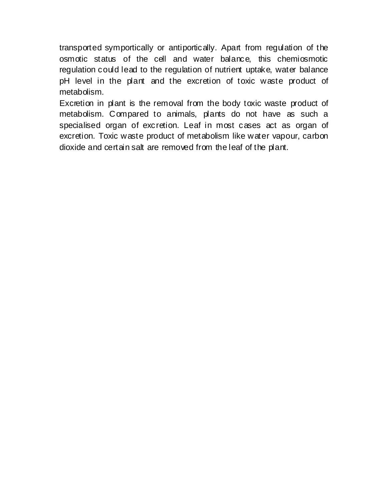transported symportically or antiportically. Apart from regulation of the osmotic status of the cell and water balance, this chemiosmotic regulation could lead to the regulation of nutrient uptake, water balance pH level in the plant and the excretion of toxic waste product of metabolism.

Excretion in plant is the removal from the body toxic waste product of metabolism. Compared to animals, plants do not have as such a specialised organ of excretion. Leaf in most cases act as organ of excretion. Toxic waste product of metabolism like water vapour, carbon dioxide and certain salt are removed from the leaf of the plant.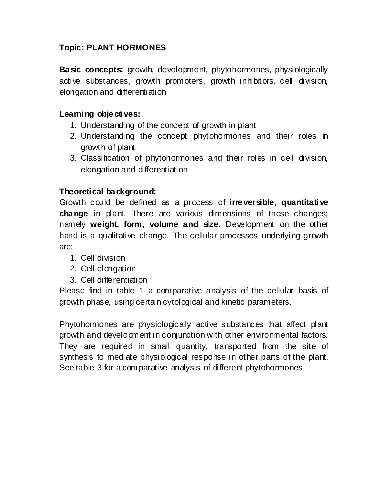#### **Topic: PLANT HORMONES**

**Basic concepts:** growth, development, phytohormones, physiologically active substances, growth promoters, growth inhibitors, cell division, elongation and differentiation

#### **Learning objectives:**

- 1. Understanding of the concept of growth in plant
- 2. Understanding the concept phytohormones and their roles in growth of plant
- 3. Classification of phytohormones and their roles in cell division, elongation and differentiation

#### **Theoretical background:**

Growth could be defined as a process of **irreversible, quantitative change** in plant. There are various dimensions of these changes; namely **weight, form, volume and size**. Development on the other hand is a qualitative change. The cellular processes underlying growth are:

- 1. Cell division
- 2. Cell elongation
- 3. Cell differentiation

Please find in table 1 a comparative analysis of the cellular basis of growth phase, using certain cytological and kinetic parameters.

Phytohormones are physiologically active substances that affect plant growth and development in conjunction with other environmental factors. They are required in small quantity, transported from the site of synthesis to mediate physiological response in other parts of the plant. See table 3 for a com parative analysis of different phytohormones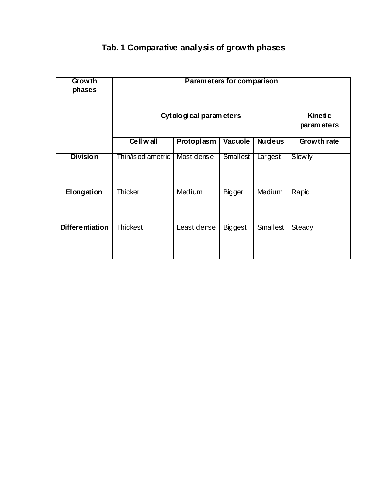## **Tab. 1 Comparative analysis of growth phases**

| Growth<br>phases       | Parameters for comparison |             |                 |                        |             |
|------------------------|---------------------------|-------------|-----------------|------------------------|-------------|
|                        | Cytological parameters    |             |                 | Kinetic<br>param eters |             |
|                        | Cell wall                 | Protoplasm  | <b>Vacuole</b>  | <b>Nu cleus</b>        | Growth rate |
| <b>Division</b>        | Thin/is odiametric        | Most dense  | <b>Smallest</b> | Largest                | Slow ly     |
| Elongation             | <b>Thicker</b>            | Medium      | <b>Bigger</b>   | Medium                 | Rapid       |
| <b>Differentiation</b> | <b>Thickest</b>           | Least dense | <b>Biggest</b>  | <b>Smallest</b>        | Steady      |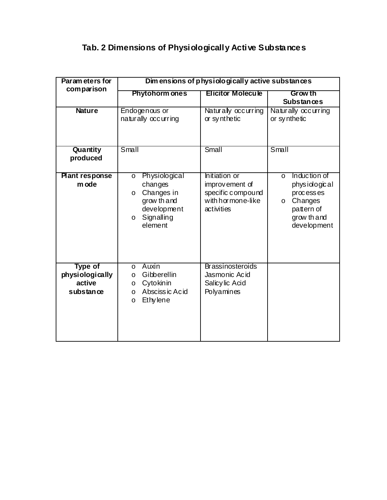# **Tab. 2 Dimensions of Physiologically Active Substances**

| Param eters for<br>comparison                            | Dimensions of physiologically active substances                                                                                |                                                                                         |                                                                                                                   |  |  |
|----------------------------------------------------------|--------------------------------------------------------------------------------------------------------------------------------|-----------------------------------------------------------------------------------------|-------------------------------------------------------------------------------------------------------------------|--|--|
|                                                          | <b>Phytohorm ones</b><br><b>Elicitor Molecule</b>                                                                              |                                                                                         | <b>Grow th</b><br><b>Substances</b>                                                                               |  |  |
| <b>Nature</b>                                            | Endogenous or<br>naturally occurring                                                                                           | Naturally occurring<br>or synthetic                                                     | Naturally occurring<br>or synthetic                                                                               |  |  |
| Quantity<br>produced                                     | Small                                                                                                                          | Small                                                                                   | Small                                                                                                             |  |  |
| <b>Plant response</b><br>m ode                           | Physiological<br>$\circ$<br>changes<br>Changes in<br>$\circ$<br>grow th and<br>development<br>Signalling<br>$\circ$<br>element | Initiation or<br>improvement of<br>specific compound<br>with hormone-like<br>activities | Induction of<br>$\circ$<br>physiological<br>processes<br>Changes<br>O<br>pattern of<br>grow th and<br>development |  |  |
| <b>Type of</b><br>physiologically<br>active<br>substance | Auxin<br>$\circ$<br>Gibberellin<br>O<br>Cytokinin<br>O<br>Absciss ic Acid<br>$\circ$<br>Ethy lene<br>$\circ$                   | <b>Brassinosteroids</b><br>Jasmonic Acid<br>Salicylic Acid<br>Polyamines                |                                                                                                                   |  |  |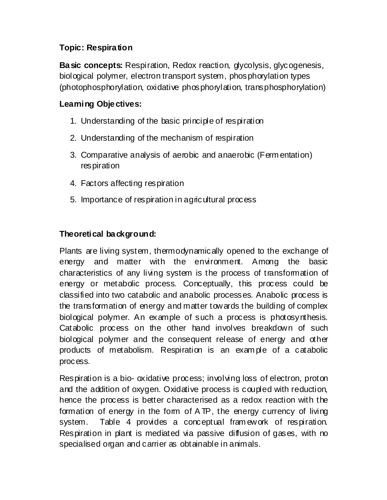#### **Topic: Respiration**

**Basic concepts:** Respiration, Redox reaction, glycolysis, glycogenesis, biological polymer, electron transport system, phosphorylation types (photophosphorylation, oxidative phosphorylation, transphosphorylation)

### **Learning Objectives:**

- 1. Understanding of the basic principle of respiration
- 2. Understanding of the mechanism of respiration
- 3. Comparative analysis of aerobic and anaerobic (Ferm entation) respiration
- 4. Factors affecting respiration
- 5. Importance of respiration in agricultural process

### **Theoretical background:**

Plants are living system, thermodynamically opened to the exchange of energy and matter with the environment. Among the basic characteristics of any living system is the process of transformation of energy or metabolic process. Conceptually, this process could be classified into two catabolic and anabolic processes. Anabolic process is the transformation of energy and matter towards the building of complex biological polymer. An example of such a process is photosynthesis. Catabolic process on the other hand involves breakdown of such biological polymer and the consequent release of energy and other products of metabolism. Respiration is an exam ple of a catabolic process.

Respiration is a bio- oxidative process; involving loss of electron, proton and the addition of oxygen. Oxidative process is coupled with reduction, hence the process is better characterised as a redox reaction with the formation of energy in the form of A TP, the energy currency of living system. Table 4 provides a conceptual fram ework of respiration. Respiration in plant is mediated via passive diffusion of gases, with no specialised organ and carrier as obtainable in animals.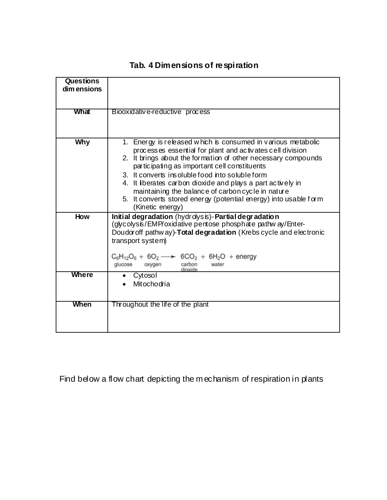| <b>Questions</b><br>dim ensions |                                                                                                                                                                                                                                                                                                                                                                                                                                                                                                          |
|---------------------------------|----------------------------------------------------------------------------------------------------------------------------------------------------------------------------------------------------------------------------------------------------------------------------------------------------------------------------------------------------------------------------------------------------------------------------------------------------------------------------------------------------------|
| What                            | Biooxidative-reductive process                                                                                                                                                                                                                                                                                                                                                                                                                                                                           |
| Why                             | 1. Energy is released which is consumed in various metabolic<br>processes essential for plant and activates cell division<br>2. It brings about the formation of other necessary compounds<br>participating as important cell constituents<br>3. It converts insoluble food into soluble form<br>4. It iberates carbon dioxide and plays a part actively in<br>maintaining the balance of carbon cycle in nature<br>5. It converts stored energy (potential energy) into usable form<br>(Kinetic energy) |
| How                             | Initial degradation (hydrolysis)-Partial degradation<br>(glycolysis/EMP/oxidative pentose phosphate pathw ay/Enter-<br>Doudor off pathway)-Total degradation (Krebs cycle and electronic<br>transport system)<br>$C_6H_{12}O_6 + 6O_2 \longrightarrow 6CO_2 + 6H_2O$ + energy<br>carbon<br>glucose<br>oxygen<br>water<br>dioxide                                                                                                                                                                         |
| Where                           | Cytosol<br>Mitochodria                                                                                                                                                                                                                                                                                                                                                                                                                                                                                   |
| When                            | Throughout the life of the plant                                                                                                                                                                                                                                                                                                                                                                                                                                                                         |

## **Tab. 4 Dimensions of respiration**

Find below a flow chart depicting the mechanism of respiration in plants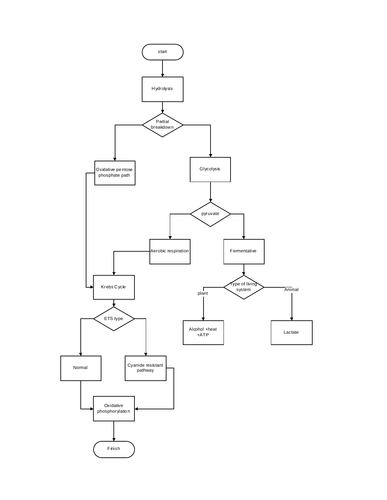